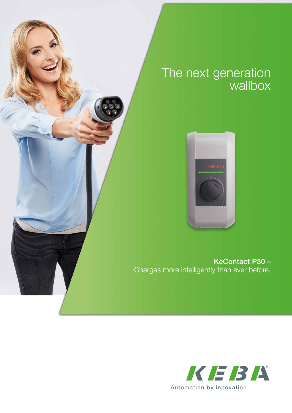### The next generation wallbox



KeContact P30 – Charges more intelligently than ever before.

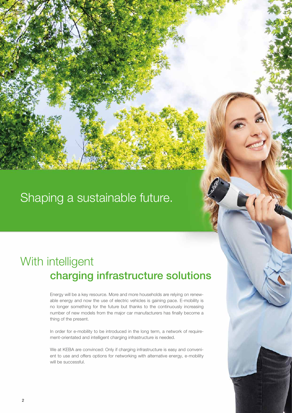# Shaping a sustainable future.

## With intelligent charging infrastructure solutions

Energy will be a key resource. More and more households are relying on renewable energy and now the use of electric vehicles is gaining pace. E-mobility is no longer something for the future but thanks to the continuously increasing number of new models from the major car manufacturers has finally become a thing of the present.

In order for e-mobility to be introduced in the long term, a network of requirement-orientated and intelligent charging infrastructure is needed.

We at KEBA are convinced: Only if charging infrastructure is easy and convenient to use and offers options for networking with alternative energy, e-mobility will be successful.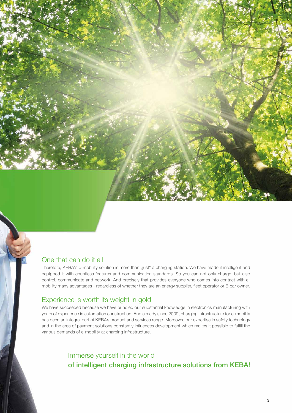#### One that can do it all

Therefore, KEBA's e-mobility solution is more than "just" a charging station. We have made it intelligent and equipped it with countless features and communication standards. So you can not only charge, but also control, communicate and network. And precisely that provides everyone who comes into contact with emobility many advantages - regardless of whether they are an energy supplier, fleet operator or E-car owner.

#### Experience is worth its weight in gold

We have succeeded because we have bundled our substantial knowledge in electronics manufacturing with years of experience in automation construction. And already since 2009, charging infrastructure for e-mobility has been an integral part of KEBA's product and services range. Moreover, our expertise in safety technology and in the area of payment solutions constantly influences development which makes it possible to fulfill the various demands of e-mobility at charging infrastructure.

> Immerse yourself in the world of intelligent charging infrastructure solutions from KEBA!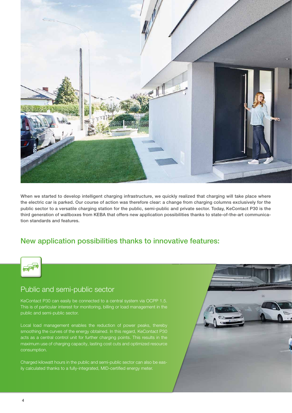

When we started to develop intelligent charging infrastructure, we quickly realized that charging will take place where the electric car is parked. Our course of action was therefore clear: a change from charging columns exclusively for the public sector to a versatile charging station for the public, semi-public and private sector. Today, KeContact P30 is the third generation of wallboxes from KEBA that offers new application possibilities thanks to state-of-the-art communication standards and features.

#### New application possibilities thanks to innovative features:



#### Public and semi-public sector

KeContact P30 can easily be connected to a central system via OCPP 1.5. This is of particular interest for monitoring, billing or load management in the public and semi-public sector.

Local load management enables the reduction of power peaks, thereby smoothing the curves of the energy obtained. In this regard, KeContact P30 acts as a central control unit for further charging points. This results in the maximum use of charging capacity, lasting cost cuts and optimized resource consumption.

Charged kilowatt hours in the public and semi-public sector can also be easily calculated thanks to a fully-integrated, MID-certified energy meter.

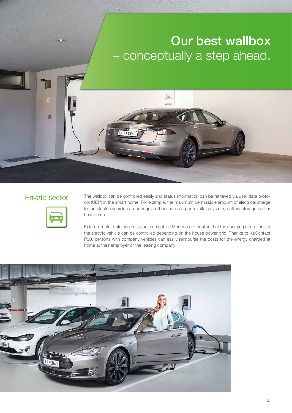# Our best wallbox – conceptually a step ahead.

n



Private sector The wallbox can be controlled easily and status information can be retrieved via user data protocol (UDP) in the smart home. For example, the maximum permissible amount of electrical charge for an electric vehicle can be regulated based on a photovoltaic system, battery storage unit or heat pump.

> External meter data can easily be read out via Modbus protocol so that the charging operations of the electric vehicle can be controlled depending on the house power grid. Thanks to KeContact P30, persons with company vehicles can easily reimburse the costs for the energy charged at home at their employer or the leasing company.



LIKEBA1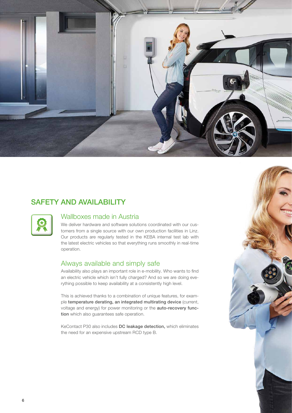

### SAFETY AND AVAILABILITY



#### Wallboxes made in Austria

We deliver hardware and software solutions coordinated with our customers from a single source with our own production facilities in Linz. Our products are regularly tested in the KEBA internal test lab with the latest electric vehicles so that everything runs smoothly in real-time operation.

#### Always available and simply safe

Availability also plays an important role in e-mobility. Who wants to find an electric vehicle which isn't fully charged? And so we are doing everything possible to keep availability at a consistently high level.

This is achieved thanks to a combination of unique features, for example temperature derating, an integrated multirating device (current, voltage and energy) for power monitoring or the **auto-recovery func**tion which also guarantees safe operation.

KeContact P30 also includes DC leakage detection, which eliminates the need for an expensive upstream RCD type B.

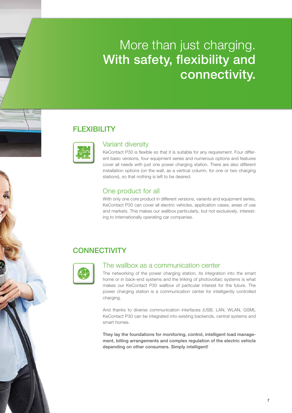# More than just charging. With safety, flexibility and connectivity.

### **FLEXIBILITY**



#### Variant diversity

KeContact P30 is flexible so that it is suitable for any requirement. Four different basic versions, four equipment series and numerous options and features cover all needs with just one power charging station. There are also different installation options (on the wall, as a vertical column, for one or two charging stations), so that nothing is left to be desired.

#### One product for all

With only one core product in different versions, variants and equipment series, KeContact P30 can cover all electric vehicles, application cases, areas of use and markets. This makes our wallbox particularly, but not exclusively, interesting to internationally operating car companies.

### **CONNECTIVITY**



#### The wallbox as a communication center

The networking of the power charging station, its integration into the smart home or in back-end systems and the linking of photovoltaic systems is what makes our KeContact P30 wallbox of particular interest for the future. The power charging station is a communication center for intelligently controlled charging.

And thanks to diverse communication interfaces (USB, LAN, WLAN, GSM), KeContact P30 can be integrated into existing backends, central systems and smart homes.

They lay the foundations for monitoring, control, intelligent load management, billing arrangements and complex regulation of the electric vehicle depending on other consumers. Simply intelligent!